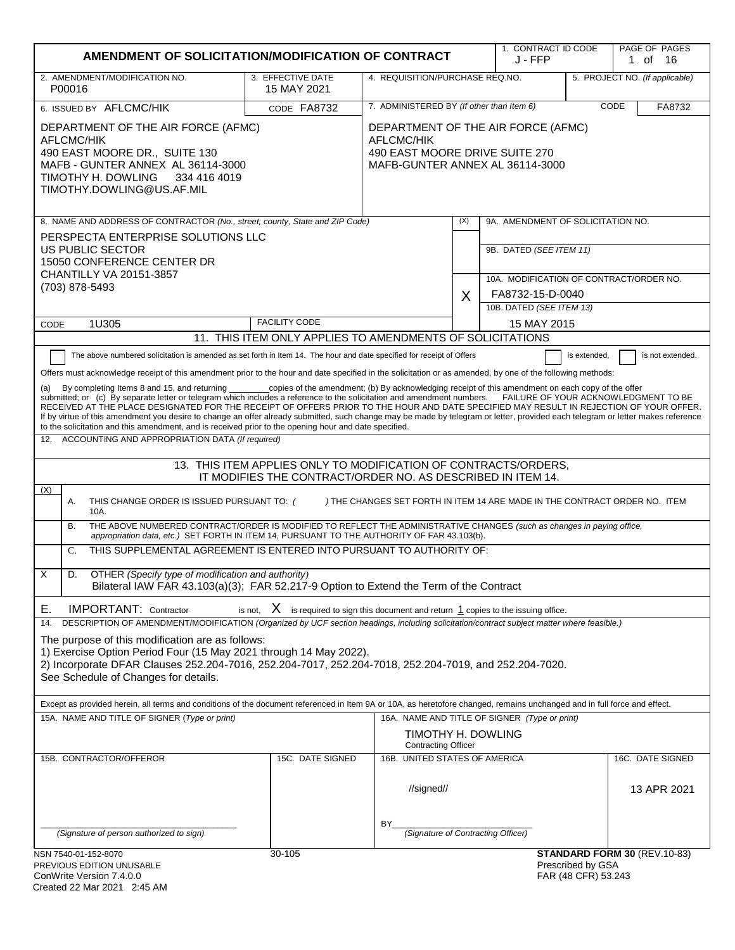| AMENDMENT OF SOLICITATION/MODIFICATION OF CONTRACT                                                                                                                                                                                                                                                                                                                                                                                                                                                                                                                                                                                                                                                                                                                                                                                                                                                                                                                                                                                                                                                                                                                                                                                                                                                                                                                                                                                                                                                                                                                                                                                                                                                                                                                                                                                                                                                                                                                                                                                                                                                                                                                                                                                                                                                                |                                                           |                                                    |                                                                   |                                              | 1. CONTRACT ID CODE                      | PAGE OF PAGES<br>1 of 16        |
|-------------------------------------------------------------------------------------------------------------------------------------------------------------------------------------------------------------------------------------------------------------------------------------------------------------------------------------------------------------------------------------------------------------------------------------------------------------------------------------------------------------------------------------------------------------------------------------------------------------------------------------------------------------------------------------------------------------------------------------------------------------------------------------------------------------------------------------------------------------------------------------------------------------------------------------------------------------------------------------------------------------------------------------------------------------------------------------------------------------------------------------------------------------------------------------------------------------------------------------------------------------------------------------------------------------------------------------------------------------------------------------------------------------------------------------------------------------------------------------------------------------------------------------------------------------------------------------------------------------------------------------------------------------------------------------------------------------------------------------------------------------------------------------------------------------------------------------------------------------------------------------------------------------------------------------------------------------------------------------------------------------------------------------------------------------------------------------------------------------------------------------------------------------------------------------------------------------------------------------------------------------------------------------------------------------------|-----------------------------------------------------------|----------------------------------------------------|-------------------------------------------------------------------|----------------------------------------------|------------------------------------------|---------------------------------|
| 2. AMENDMENT/MODIFICATION NO.<br>P00016                                                                                                                                                                                                                                                                                                                                                                                                                                                                                                                                                                                                                                                                                                                                                                                                                                                                                                                                                                                                                                                                                                                                                                                                                                                                                                                                                                                                                                                                                                                                                                                                                                                                                                                                                                                                                                                                                                                                                                                                                                                                                                                                                                                                                                                                           | 3. EFFECTIVE DATE<br>15 MAY 2021                          |                                                    | 4. REQUISITION/PURCHASE REQ.NO.<br>5. PROJECT NO. (If applicable) |                                              |                                          |                                 |
| 6. ISSUED BY AFLCMC/HIK                                                                                                                                                                                                                                                                                                                                                                                                                                                                                                                                                                                                                                                                                                                                                                                                                                                                                                                                                                                                                                                                                                                                                                                                                                                                                                                                                                                                                                                                                                                                                                                                                                                                                                                                                                                                                                                                                                                                                                                                                                                                                                                                                                                                                                                                                           | CODE FA8732                                               | 7. ADMINISTERED BY (If other than Item 6)          |                                                                   |                                              |                                          | CODE<br>FA8732                  |
| DEPARTMENT OF THE AIR FORCE (AFMC)<br>DEPARTMENT OF THE AIR FORCE (AFMC)<br><b>AFLCMC/HIK</b><br><b>AFLCMC/HIK</b><br>490 EAST MOORE DRIVE SUITE 270<br>490 EAST MOORE DR., SUITE 130<br>MAFB - GUNTER ANNEX AL 36114-3000<br>MAFB-GUNTER ANNEX AL 36114-3000<br>TIMOTHY H. DOWLING<br>334 416 4019<br>TIMOTHY.DOWLING@US.AF.MIL                                                                                                                                                                                                                                                                                                                                                                                                                                                                                                                                                                                                                                                                                                                                                                                                                                                                                                                                                                                                                                                                                                                                                                                                                                                                                                                                                                                                                                                                                                                                                                                                                                                                                                                                                                                                                                                                                                                                                                                  |                                                           |                                                    |                                                                   |                                              |                                          |                                 |
| 8. NAME AND ADDRESS OF CONTRACTOR (No., street, county, State and ZIP Code)                                                                                                                                                                                                                                                                                                                                                                                                                                                                                                                                                                                                                                                                                                                                                                                                                                                                                                                                                                                                                                                                                                                                                                                                                                                                                                                                                                                                                                                                                                                                                                                                                                                                                                                                                                                                                                                                                                                                                                                                                                                                                                                                                                                                                                       |                                                           |                                                    | (X)                                                               | 9A. AMENDMENT OF SOLICITATION NO.            |                                          |                                 |
| PERSPECTA ENTERPRISE SOLUTIONS LLC<br>US PUBLIC SECTOR<br>15050 CONFERENCE CENTER DR<br>CHANTILLY VA 20151-3857                                                                                                                                                                                                                                                                                                                                                                                                                                                                                                                                                                                                                                                                                                                                                                                                                                                                                                                                                                                                                                                                                                                                                                                                                                                                                                                                                                                                                                                                                                                                                                                                                                                                                                                                                                                                                                                                                                                                                                                                                                                                                                                                                                                                   |                                                           |                                                    |                                                                   | 9B. DATED (SEE ITEM 11)                      |                                          |                                 |
| (703) 878-5493                                                                                                                                                                                                                                                                                                                                                                                                                                                                                                                                                                                                                                                                                                                                                                                                                                                                                                                                                                                                                                                                                                                                                                                                                                                                                                                                                                                                                                                                                                                                                                                                                                                                                                                                                                                                                                                                                                                                                                                                                                                                                                                                                                                                                                                                                                    |                                                           |                                                    |                                                                   | 10A. MODIFICATION OF CONTRACT/ORDER NO.      |                                          |                                 |
|                                                                                                                                                                                                                                                                                                                                                                                                                                                                                                                                                                                                                                                                                                                                                                                                                                                                                                                                                                                                                                                                                                                                                                                                                                                                                                                                                                                                                                                                                                                                                                                                                                                                                                                                                                                                                                                                                                                                                                                                                                                                                                                                                                                                                                                                                                                   |                                                           |                                                    | X                                                                 | FA8732-15-D-0040<br>10B. DATED (SEE ITEM 13) |                                          |                                 |
| 1U305<br>CODE                                                                                                                                                                                                                                                                                                                                                                                                                                                                                                                                                                                                                                                                                                                                                                                                                                                                                                                                                                                                                                                                                                                                                                                                                                                                                                                                                                                                                                                                                                                                                                                                                                                                                                                                                                                                                                                                                                                                                                                                                                                                                                                                                                                                                                                                                                     | <b>FACILITY CODE</b>                                      |                                                    |                                                                   | 15 MAY 2015                                  |                                          |                                 |
|                                                                                                                                                                                                                                                                                                                                                                                                                                                                                                                                                                                                                                                                                                                                                                                                                                                                                                                                                                                                                                                                                                                                                                                                                                                                                                                                                                                                                                                                                                                                                                                                                                                                                                                                                                                                                                                                                                                                                                                                                                                                                                                                                                                                                                                                                                                   | 11. THIS ITEM ONLY APPLIES TO AMENDMENTS OF SOLICITATIONS |                                                    |                                                                   |                                              |                                          |                                 |
| Offers must acknowledge receipt of this amendment prior to the hour and date specified in the solicitation or as amended, by one of the following methods:<br>_copies of the amendment; (b) By acknowledging receipt of this amendment on each copy of the offer<br>By completing Items 8 and 15, and returning<br>(a)<br>submitted; or (c) By separate letter or telegram which includes a reference to the solicitation and amendment numbers. FAILURE OF YOUR ACKNOWLEDGMENT TO BE<br>RECEIVED AT THE PLACE DESIGNATED FOR THE RECEIPT OF OFFERS PRIOR TO THE HOUR AND DATE SPECIFIED MAY RESULT IN REJECTION OF YOUR OFFER.<br>If by virtue of this amendment you desire to change an offer already submitted, such change may be made by telegram or letter, provided each telegram or letter makes reference<br>to the solicitation and this amendment, and is received prior to the opening hour and date specified.<br>ACCOUNTING AND APPROPRIATION DATA (If required)<br>12.<br>13. THIS ITEM APPLIES ONLY TO MODIFICATION OF CONTRACTS/ORDERS,<br>IT MODIFIES THE CONTRACT/ORDER NO. AS DESCRIBED IN ITEM 14.<br>(X)<br>) THE CHANGES SET FORTH IN ITEM 14 ARE MADE IN THE CONTRACT ORDER NO. ITEM<br>Α.<br>THIS CHANGE ORDER IS ISSUED PURSUANT TO: (<br>10A.<br>THE ABOVE NUMBERED CONTRACT/ORDER IS MODIFIED TO REFLECT THE ADMINISTRATIVE CHANGES (such as changes in paying office,<br>В.<br>appropriation data, etc.) SET FORTH IN ITEM 14, PURSUANT TO THE AUTHORITY OF FAR 43.103(b).<br>THIS SUPPLEMENTAL AGREEMENT IS ENTERED INTO PURSUANT TO AUTHORITY OF:<br>C.<br>X<br>OTHER (Specify type of modification and authority)<br>D.<br>Bilateral IAW FAR 43.103(a)(3); FAR 52.217-9 Option to Extend the Term of the Contract<br><b>IMPORTANT: Contractor</b><br>is not, $X$ is required to sign this document and return 1 copies to the issuing office.<br>Е.<br>DESCRIPTION OF AMENDMENT/MODIFICATION (Organized by UCF section headings, including solicitation/contract subject matter where feasible.)<br>14.<br>The purpose of this modification are as follows:<br>1) Exercise Option Period Four (15 May 2021 through 14 May 2022).<br>2) Incorporate DFAR Clauses 252.204-7016, 252.204-7017, 252.204-7018, 252.204-7019, and 252.204-7020.<br>See Schedule of Changes for details. |                                                           |                                                    |                                                                   |                                              |                                          |                                 |
| Except as provided herein, all terms and conditions of the document referenced in Item 9A or 10A, as heretofore changed, remains unchanged and in full force and effect.                                                                                                                                                                                                                                                                                                                                                                                                                                                                                                                                                                                                                                                                                                                                                                                                                                                                                                                                                                                                                                                                                                                                                                                                                                                                                                                                                                                                                                                                                                                                                                                                                                                                                                                                                                                                                                                                                                                                                                                                                                                                                                                                          |                                                           |                                                    |                                                                   |                                              |                                          |                                 |
| 15A. NAME AND TITLE OF SIGNER (Type or print)<br>16A. NAME AND TITLE OF SIGNER (Type or print)<br>TIMOTHY H. DOWLING<br><b>Contracting Officer</b>                                                                                                                                                                                                                                                                                                                                                                                                                                                                                                                                                                                                                                                                                                                                                                                                                                                                                                                                                                                                                                                                                                                                                                                                                                                                                                                                                                                                                                                                                                                                                                                                                                                                                                                                                                                                                                                                                                                                                                                                                                                                                                                                                                |                                                           |                                                    |                                                                   |                                              |                                          |                                 |
| 15B. CONTRACTOR/OFFEROR                                                                                                                                                                                                                                                                                                                                                                                                                                                                                                                                                                                                                                                                                                                                                                                                                                                                                                                                                                                                                                                                                                                                                                                                                                                                                                                                                                                                                                                                                                                                                                                                                                                                                                                                                                                                                                                                                                                                                                                                                                                                                                                                                                                                                                                                                           | 15C. DATE SIGNED                                          | 16B. UNITED STATES OF AMERICA<br>//signed//<br>BY. |                                                                   |                                              |                                          | 16C. DATE SIGNED<br>13 APR 2021 |
| (Signature of person authorized to sign)                                                                                                                                                                                                                                                                                                                                                                                                                                                                                                                                                                                                                                                                                                                                                                                                                                                                                                                                                                                                                                                                                                                                                                                                                                                                                                                                                                                                                                                                                                                                                                                                                                                                                                                                                                                                                                                                                                                                                                                                                                                                                                                                                                                                                                                                          |                                                           | (Signature of Contracting Officer)                 |                                                                   |                                              |                                          |                                 |
| NSN 7540-01-152-8070<br>PREVIOUS EDITION UNUSABLE<br>ConWrite Version 7.4.0.0                                                                                                                                                                                                                                                                                                                                                                                                                                                                                                                                                                                                                                                                                                                                                                                                                                                                                                                                                                                                                                                                                                                                                                                                                                                                                                                                                                                                                                                                                                                                                                                                                                                                                                                                                                                                                                                                                                                                                                                                                                                                                                                                                                                                                                     | 30-105                                                    |                                                    |                                                                   |                                              | Prescribed by GSA<br>FAR (48 CFR) 53.243 | STANDARD FORM 30 (REV.10-83)    |

Created 22 Mar 2021 2:45 AM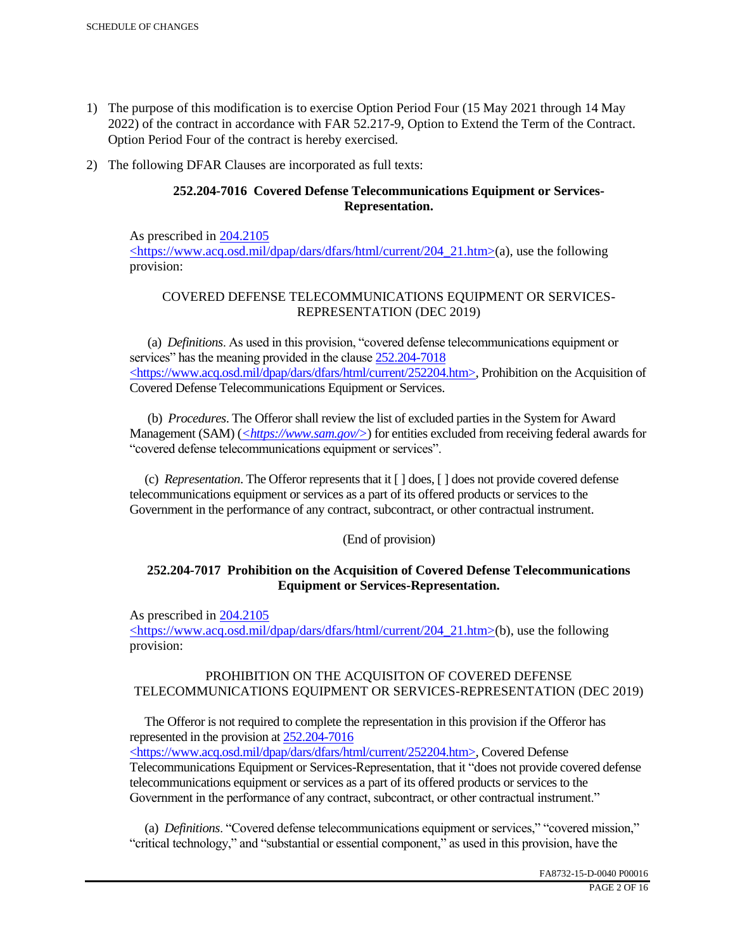- 1) The purpose of this modification is to exercise Option Period Four (15 May 2021 through 14 May 2022) of the contract in accordance with FAR 52.217-9, Option to Extend the Term of the Contract. Option Period Four of the contract is hereby exercised.
- 2) The following DFAR Clauses are incorporated as full texts:

# **252.204-7016 Covered Defense Telecommunications Equipment or Services-Representation.**

As prescribed in 204.2105 <https://www.acq.osd.mil/dpap/dars/dfars/html/current/204\_21.htm>(a), use the following provision:

# COVERED DEFENSE TELECOMMUNICATIONS EQUIPMENT OR SERVICES-REPRESENTATION (DEC 2019)

 (a) *Definitions*. As used in this provision, "covered defense telecommunications equipment or services" has the meaning provided in the clause  $252.204 - 7018$ <https://www.acq.osd.mil/dpap/dars/dfars/html/current/252204.htm>, Prohibition on the Acquisition of Covered Defense Telecommunications Equipment or Services.

 (b) *Procedures*. The Offeror shall review the list of excluded parties in the System for Award Management (SAM) (*<https://www.sam.gov/>*) for entities excluded from receiving federal awards for "covered defense telecommunications equipment or services".

 (c) *Representation*. The Offeror represents that it [ ] does, [ ] does not provide covered defense telecommunications equipment or services as a part of its offered products or services to the Government in the performance of any contract, subcontract, or other contractual instrument.

## (End of provision)

## **252.204-7017 Prohibition on the Acquisition of Covered Defense Telecommunications Equipment or Services-Representation.**

As prescribed in 204.2105

<https://www.acq.osd.mil/dpap/dars/dfars/html/current/204\_21.htm>(b), use the following provision:

## PROHIBITION ON THE ACQUISITON OF COVERED DEFENSE TELECOMMUNICATIONS EQUIPMENT OR SERVICES-REPRESENTATION (DEC 2019)

 The Offeror is not required to complete the representation in this provision if the Offeror has represented in the provision at 252.204-7016

<https://www.acq.osd.mil/dpap/dars/dfars/html/current/252204.htm>, Covered Defense Telecommunications Equipment or Services-Representation, that it "does not provide covered defense telecommunications equipment or services as a part of its offered products or services to the Government in the performance of any contract, subcontract, or other contractual instrument."

 (a) *Definitions*. "Covered defense telecommunications equipment or services," "covered mission," "critical technology," and "substantial or essential component," as used in this provision, have the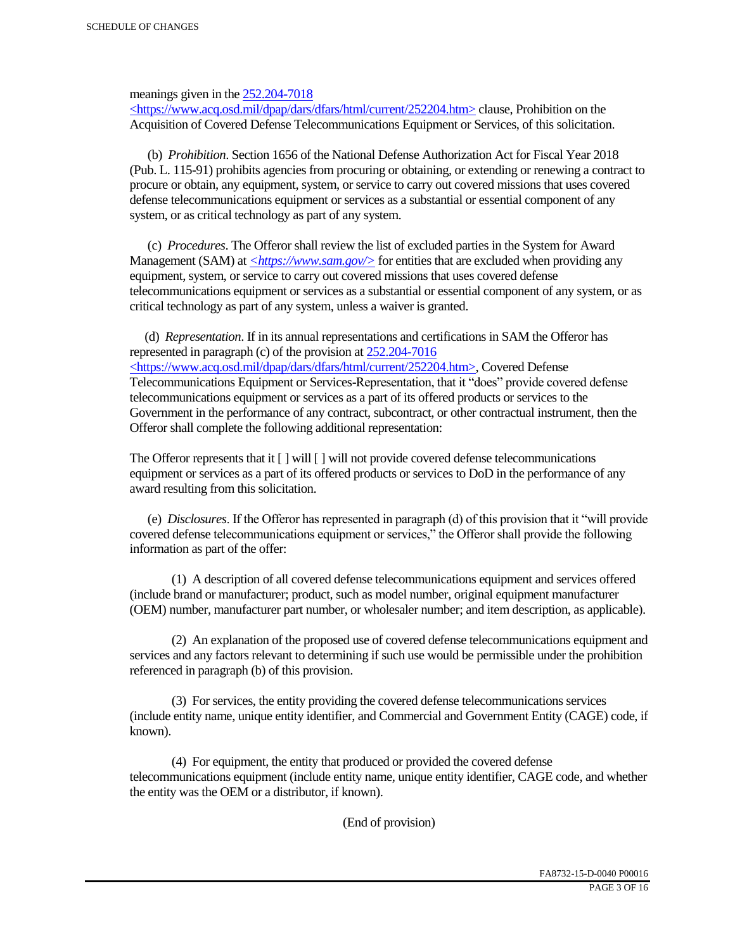meanings given in the 252.204-7018

 $\langle$ https://www.acq.osd.mil/dpap/dars/dfars/html/current/252204.htm> clause, Prohibition on the Acquisition of Covered Defense Telecommunications Equipment or Services, of this solicitation.

 (b) *Prohibition*. Section 1656 of the National Defense Authorization Act for Fiscal Year 2018 (Pub. L. 115-91) prohibits agencies from procuring or obtaining, or extending or renewing a contract to procure or obtain, any equipment, system, or service to carry out covered missions that uses covered defense telecommunications equipment or services as a substantial or essential component of any system, or as critical technology as part of any system.

 (c) *Procedures*. The Offeror shall review the list of excluded parties in the System for Award Management (SAM) at  $\leq$ https://www.sam.gov/> for entities that are excluded when providing any equipment, system, or service to carry out covered missions that uses covered defense telecommunications equipment or services as a substantial or essential component of any system, or as critical technology as part of any system, unless a waiver is granted.

 (d) *Representation*. If in its annual representations and certifications in SAM the Offeror has represented in paragraph (c) of the provision at 252.204-7016 <https://www.acq.osd.mil/dpap/dars/dfars/html/current/252204.htm>, Covered Defense Telecommunications Equipment or Services-Representation, that it "does" provide covered defense telecommunications equipment or services as a part of its offered products or services to the Government in the performance of any contract, subcontract, or other contractual instrument, then the Offeror shall complete the following additional representation:

The Offeror represents that it  $\lceil \cdot \rceil$  will  $\lceil \cdot \rceil$  will not provide covered defense telecommunications equipment or services as a part of its offered products or services to DoD in the performance of any award resulting from this solicitation.

 (e) *Disclosures*. If the Offeror has represented in paragraph (d) of this provision that it "will provide covered defense telecommunications equipment or services," the Offeror shall provide the following information as part of the offer:

 (1) A description of all covered defense telecommunications equipment and services offered (include brand or manufacturer; product, such as model number, original equipment manufacturer (OEM) number, manufacturer part number, or wholesaler number; and item description, as applicable).

 (2) An explanation of the proposed use of covered defense telecommunications equipment and services and any factors relevant to determining if such use would be permissible under the prohibition referenced in paragraph (b) of this provision.

 (3) For services, the entity providing the covered defense telecommunications services (include entity name, unique entity identifier, and Commercial and Government Entity (CAGE) code, if known).

 (4) For equipment, the entity that produced or provided the covered defense telecommunications equipment (include entity name, unique entity identifier, CAGE code, and whether the entity was the OEM or a distributor, if known).

(End of provision)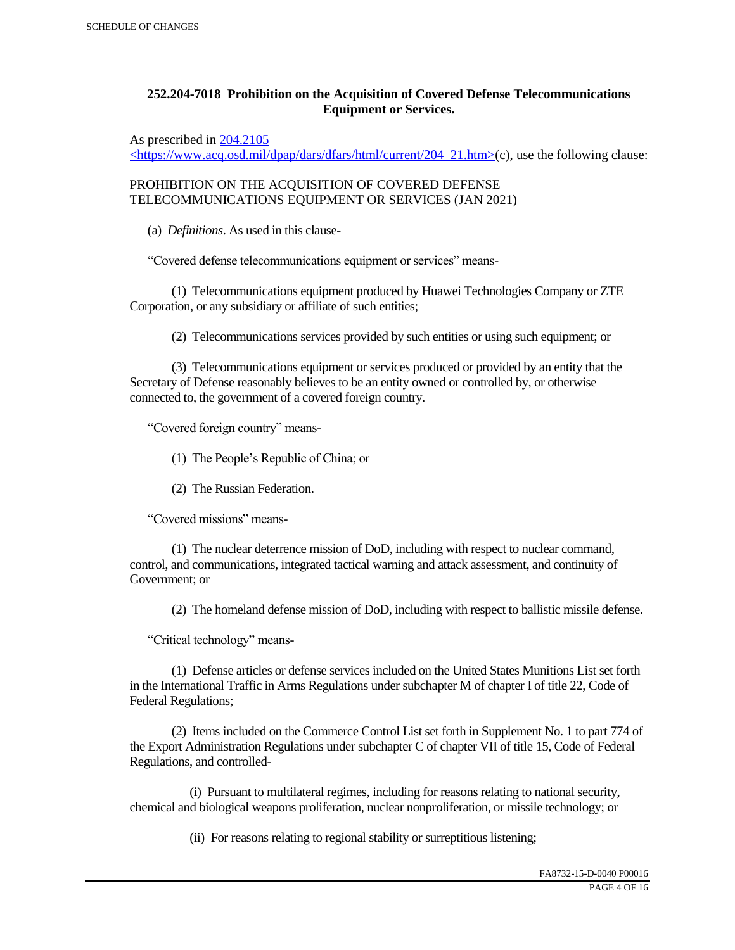# **252.204-7018 Prohibition on the Acquisition of Covered Defense Telecommunications Equipment or Services.**

As prescribed in 204.2105

 $\langle$ https://www.acq.osd.mil/dpap/dars/dfars/html/current/204\_21.htm>(c), use the following clause:

PROHIBITION ON THE ACQUISITION OF COVERED DEFENSE TELECOMMUNICATIONS EQUIPMENT OR SERVICES (JAN 2021)

(a) *Definitions*. As used in this clause-

"Covered defense telecommunications equipment or services" means-

 (1) Telecommunications equipment produced by Huawei Technologies Company or ZTE Corporation, or any subsidiary or affiliate of such entities;

(2) Telecommunications services provided by such entities or using such equipment; or

 (3) Telecommunications equipment or services produced or provided by an entity that the Secretary of Defense reasonably believes to be an entity owned or controlled by, or otherwise connected to, the government of a covered foreign country.

"Covered foreign country" means-

(1) The People's Republic of China; or

(2) The Russian Federation.

"Covered missions" means-

 (1) The nuclear deterrence mission of DoD, including with respect to nuclear command, control, and communications, integrated tactical warning and attack assessment, and continuity of Government; or

(2) The homeland defense mission of DoD, including with respect to ballistic missile defense.

"Critical technology" means-

 (1) Defense articles or defense services included on the United States Munitions List set forth in the International Traffic in Arms Regulations under subchapter M of chapter I of title 22, Code of Federal Regulations;

 (2) Items included on the Commerce Control List set forth in Supplement No. 1 to part 774 of the Export Administration Regulations under subchapter C of chapter VII of title 15, Code of Federal Regulations, and controlled-

 (i) Pursuant to multilateral regimes, including for reasons relating to national security, chemical and biological weapons proliferation, nuclear nonproliferation, or missile technology; or

(ii) For reasons relating to regional stability or surreptitious listening;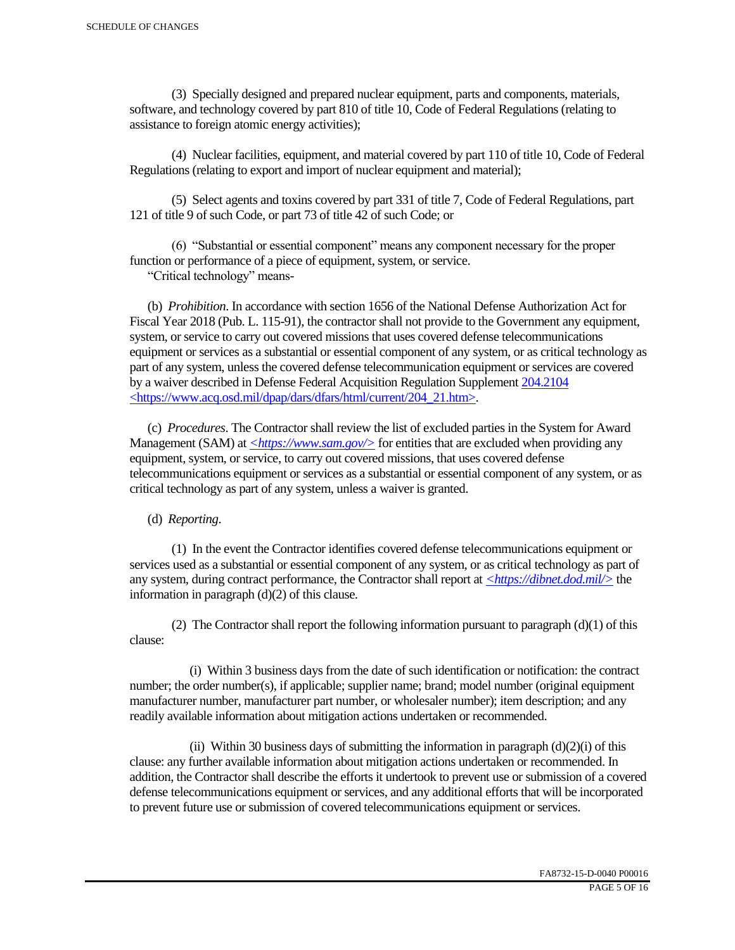(3) Specially designed and prepared nuclear equipment, parts and components, materials, software, and technology covered by part 810 of title 10, Code of Federal Regulations (relating to assistance to foreign atomic energy activities);

 (4) Nuclear facilities, equipment, and material covered by part 110 of title 10, Code of Federal Regulations (relating to export and import of nuclear equipment and material);

 (5) Select agents and toxins covered by part 331 of title 7, Code of Federal Regulations, part 121 of title 9 of such Code, or part 73 of title 42 of such Code; or

 (6) "Substantial or essential component" means any component necessary for the proper function or performance of a piece of equipment, system, or service.

"Critical technology" means-

 (b) *Prohibition*. In accordance with section 1656 of the National Defense Authorization Act for Fiscal Year 2018 (Pub. L. 115-91), the contractor shall not provide to the Government any equipment, system, or service to carry out covered missions that uses covered defense telecommunications equipment or services as a substantial or essential component of any system, or as critical technology as part of any system, unless the covered defense telecommunication equipment or services are covered by a waiver described in Defense Federal Acquisition Regulation Supplement 204.2104 <https://www.acq.osd.mil/dpap/dars/dfars/html/current/204\_21.htm>.

 (c) *Procedures*. The Contractor shall review the list of excluded parties in the System for Award Management (SAM) at  $\langle \frac{https://www.sam.gov/}{>}$  for entities that are excluded when providing any equipment, system, or service, to carry out covered missions, that uses covered defense telecommunications equipment or services as a substantial or essential component of any system, or as critical technology as part of any system, unless a waiver is granted.

(d) *Reporting*.

 (1) In the event the Contractor identifies covered defense telecommunications equipment or services used as a substantial or essential component of any system, or as critical technology as part of any system, during contract performance, the Contractor shall report at *<https://dibnet.dod.mil/>* the information in paragraph (d)(2) of this clause.

(2) The Contractor shall report the following information pursuant to paragraph  $(d)(1)$  of this clause:

 (i) Within 3 business days from the date of such identification or notification: the contract number; the order number(s), if applicable; supplier name; brand; model number (original equipment manufacturer number, manufacturer part number, or wholesaler number); item description; and any readily available information about mitigation actions undertaken or recommended.

(ii) Within 30 business days of submitting the information in paragraph  $(d)(2)(i)$  of this clause: any further available information about mitigation actions undertaken or recommended. In addition, the Contractor shall describe the efforts it undertook to prevent use or submission of a covered defense telecommunications equipment or services, and any additional efforts that will be incorporated to prevent future use or submission of covered telecommunications equipment or services.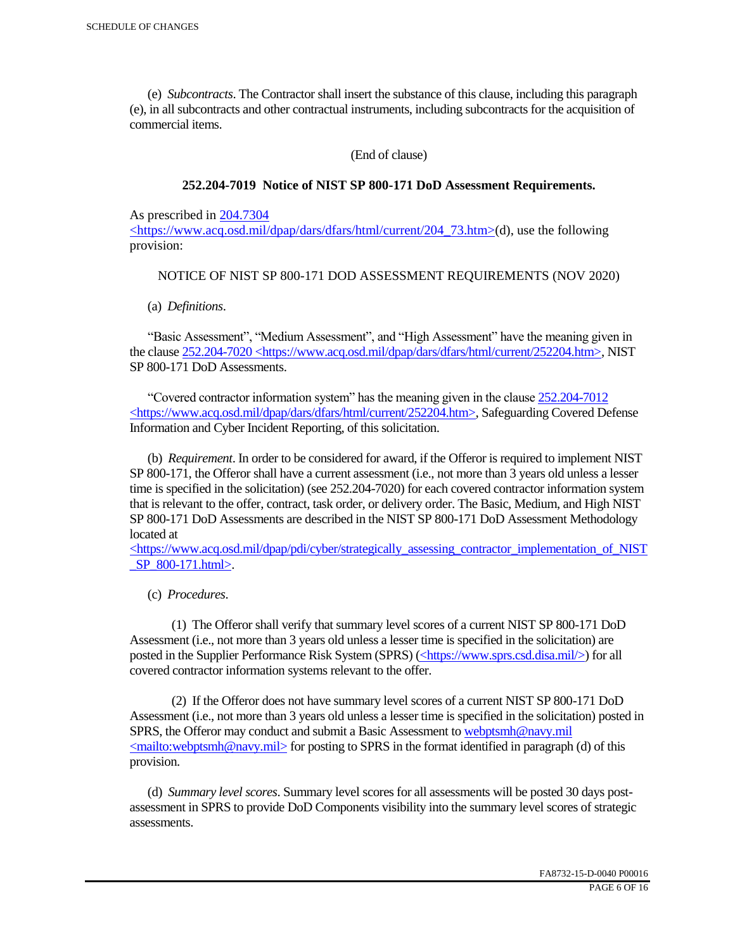(e) *Subcontracts*. The Contractor shall insert the substance of this clause, including this paragraph (e), in all subcontracts and other contractual instruments, including subcontracts for the acquisition of commercial items.

(End of clause)

## **252.204-7019 Notice of NIST SP 800-171 DoD Assessment Requirements.**

As prescribed in 204.7304

 $\langle$ https://www.acq.osd.mil/dpap/dars/dfars/html/current/204 73.htm>(d), use the following provision:

## NOTICE OF NIST SP 800-171 DOD ASSESSMENT REQUIREMENTS (NOV 2020)

(a) *Definitions*.

 "Basic Assessment", "Medium Assessment", and "High Assessment" have the meaning given in the clause 252.204-7020 <https://www.acq.osd.mil/dpap/dars/dfars/html/current/252204.htm>, NIST SP 800-171 DoD Assessments.

 "Covered contractor information system" has the meaning given in the clause 252.204-7012 <https://www.acq.osd.mil/dpap/dars/dfars/html/current/252204.htm>, Safeguarding Covered Defense Information and Cyber Incident Reporting, of this solicitation.

 (b) *Requirement*. In order to be considered for award, if the Offeror is required to implement NIST SP 800-171, the Offeror shall have a current assessment (i.e., not more than 3 years old unless a lesser time is specified in the solicitation) (see 252.204-7020) for each covered contractor information system that is relevant to the offer, contract, task order, or delivery order. The Basic, Medium, and High NIST SP 800-171 DoD Assessments are described in the NIST SP 800-171 DoD Assessment Methodology located at

 $\langle$ https://www.acq.osd.mil/dpap/pdi/cyber/strategically\_assessing\_contractor\_implementation\_of\_NIST \_SP\_800-171.html>.

(c) *Procedures*.

 (1) The Offeror shall verify that summary level scores of a current NIST SP 800-171 DoD Assessment (i.e., not more than 3 years old unless a lesser time is specified in the solicitation) are posted in the Supplier Performance Risk System (SPRS) (<https://www.sprs.csd.disa.mil/>) for all covered contractor information systems relevant to the offer.

 (2) If the Offeror does not have summary level scores of a current NIST SP 800-171 DoD Assessment (i.e., not more than 3 years old unless a lesser time is specified in the solicitation) posted in SPRS, the Offeror may conduct and submit a Basic Assessment to webptsmh@navy.mil  $\leq$ mailto:webptsmh@navy.mil> for posting to SPRS in the format identified in paragraph (d) of this provision.

 (d) *Summary level scores*. Summary level scores for all assessments will be posted 30 days postassessment in SPRS to provide DoD Components visibility into the summary level scores of strategic assessments.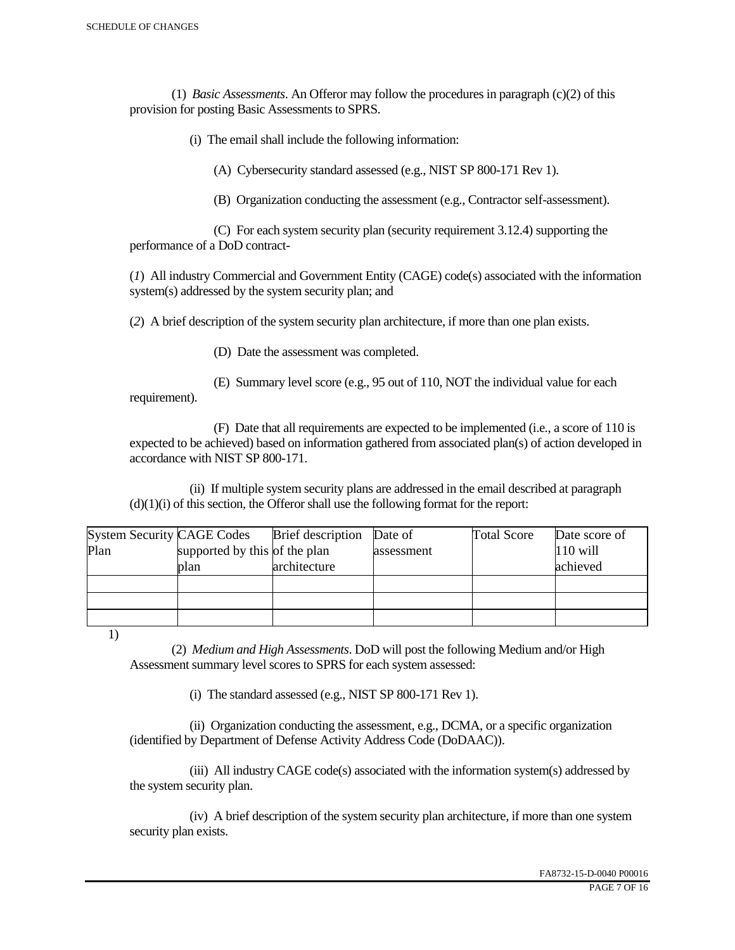(1) *Basic Assessments*. An Offeror may follow the procedures in paragraph (c)(2) of this provision for posting Basic Assessments to SPRS.

(i) The email shall include the following information:

(A) Cybersecurity standard assessed (e.g., NIST SP 800-171 Rev 1).

(B) Organization conducting the assessment (e.g., Contractor self-assessment).

 (C) For each system security plan (security requirement 3.12.4) supporting the performance of a DoD contract-

(*1*) All industry Commercial and Government Entity (CAGE) code(s) associated with the information system(s) addressed by the system security plan; and

(*2*) A brief description of the system security plan architecture, if more than one plan exists.

(D) Date the assessment was completed.

 (E) Summary level score (e.g., 95 out of 110, NOT the individual value for each requirement).

 (F) Date that all requirements are expected to be implemented (i.e., a score of 110 is expected to be achieved) based on information gathered from associated plan(s) of action developed in accordance with NIST SP 800-171.

 (ii) If multiple system security plans are addressed in the email described at paragraph  $(d)(1)(i)$  of this section, the Offeror shall use the following format for the report:

| <b>System Security CAGE Codes</b> |                               | <b>Brief</b> description | Date of    | <b>Total Score</b> | Date score of |
|-----------------------------------|-------------------------------|--------------------------|------------|--------------------|---------------|
| Plan                              | supported by this of the plan |                          | assessment |                    | $110$ will    |
|                                   | plan                          | architecture             |            |                    | achieved      |
|                                   |                               |                          |            |                    |               |
|                                   |                               |                          |            |                    |               |
|                                   |                               |                          |            |                    |               |

1)

 (2) *Medium and High Assessments*. DoD will post the following Medium and/or High Assessment summary level scores to SPRS for each system assessed:

(i) The standard assessed (e.g., NIST SP 800-171 Rev 1).

 (ii) Organization conducting the assessment, e.g., DCMA, or a specific organization (identified by Department of Defense Activity Address Code (DoDAAC)).

 (iii) All industry CAGE code(s) associated with the information system(s) addressed by the system security plan.

 (iv) A brief description of the system security plan architecture, if more than one system security plan exists.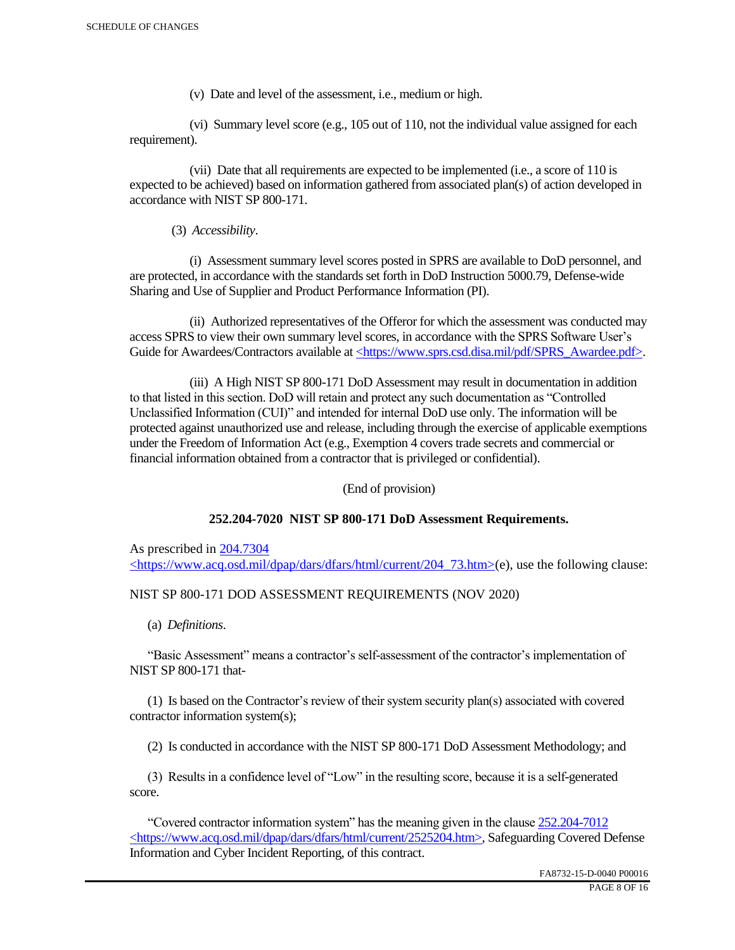(v) Date and level of the assessment, i.e., medium or high.

 (vi) Summary level score (e.g., 105 out of 110, not the individual value assigned for each requirement).

 (vii) Date that all requirements are expected to be implemented (i.e., a score of 110 is expected to be achieved) based on information gathered from associated plan(s) of action developed in accordance with NIST SP 800-171.

(3) *Accessibility*.

 (i) Assessment summary level scores posted in SPRS are available to DoD personnel, and are protected, in accordance with the standards set forth in DoD Instruction 5000.79, Defense-wide Sharing and Use of Supplier and Product Performance Information (PI).

 (ii) Authorized representatives of the Offeror for which the assessment was conducted may access SPRS to view their own summary level scores, in accordance with the SPRS Software User's Guide for Awardees/Contractors available at <https://www.sprs.csd.disa.mil/pdf/SPRS\_Awardee.pdf>.

 (iii) A High NIST SP 800-171 DoD Assessment may result in documentation in addition to that listed in this section. DoD will retain and protect any such documentation as "Controlled Unclassified Information (CUI)" and intended for internal DoD use only. The information will be protected against unauthorized use and release, including through the exercise of applicable exemptions under the Freedom of Information Act (e.g., Exemption 4 covers trade secrets and commercial or financial information obtained from a contractor that is privileged or confidential).

(End of provision)

## **252.204-7020 NIST SP 800-171 DoD Assessment Requirements.**

As prescribed in 204.7304 <https://www.acq.osd.mil/dpap/dars/dfars/html/current/204\_73.htm>(e), use the following clause:

## NIST SP 800-171 DOD ASSESSMENT REQUIREMENTS (NOV 2020)

(a) *Definitions*.

 "Basic Assessment" means a contractor's self-assessment of the contractor's implementation of NIST SP 800-171 that-

 (1) Is based on the Contractor's review of their system security plan(s) associated with covered contractor information system(s);

(2) Is conducted in accordance with the NIST SP 800-171 DoD Assessment Methodology; and

 (3) Results in a confidence level of "Low" in the resulting score, because it is a self-generated score.

 "Covered contractor information system" has the meaning given in the clause 252.204-7012 <https://www.acq.osd.mil/dpap/dars/dfars/html/current/2525204.htm>, Safeguarding Covered Defense Information and Cyber Incident Reporting, of this contract.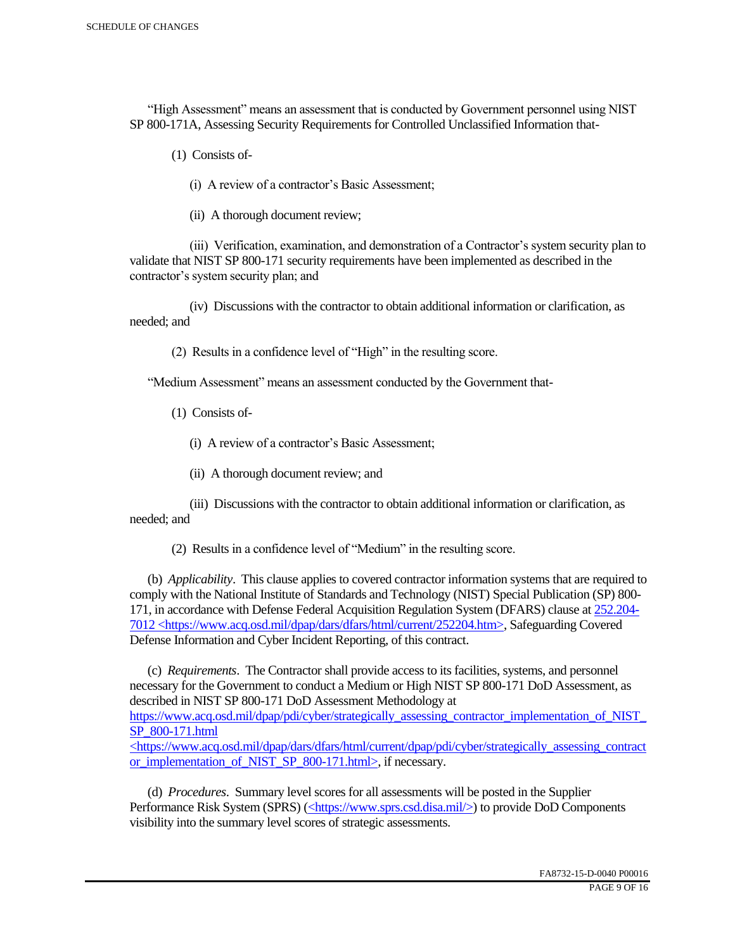"High Assessment" means an assessment that is conducted by Government personnel using NIST SP 800-171A, Assessing Security Requirements for Controlled Unclassified Information that-

(1) Consists of-

(i) A review of a contractor's Basic Assessment;

(ii) A thorough document review;

 (iii) Verification, examination, and demonstration of a Contractor's system security plan to validate that NIST SP 800-171 security requirements have been implemented as described in the contractor's system security plan; and

 (iv) Discussions with the contractor to obtain additional information or clarification, as needed; and

(2) Results in a confidence level of "High" in the resulting score.

"Medium Assessment" means an assessment conducted by the Government that-

(1) Consists of-

(i) A review of a contractor's Basic Assessment;

(ii) A thorough document review; and

 (iii) Discussions with the contractor to obtain additional information or clarification, as needed; and

(2) Results in a confidence level of "Medium" in the resulting score.

 (b) *Applicability*. This clause applies to covered contractor information systems that are required to comply with the National Institute of Standards and Technology (NIST) Special Publication (SP) 800- 171, in accordance with Defense Federal Acquisition Regulation System (DFARS) clause at 252.204- 7012 <https://www.acq.osd.mil/dpap/dars/dfars/html/current/252204.htm>, Safeguarding Covered Defense Information and Cyber Incident Reporting, of this contract.

 (c) *Requirements*. The Contractor shall provide access to its facilities, systems, and personnel necessary for the Government to conduct a Medium or High NIST SP 800-171 DoD Assessment, as described in NIST SP 800-171 DoD Assessment Methodology at https://www.acq.osd.mil/dpap/pdi/cyber/strategically\_assessing\_contractor\_implementation\_of\_NIST\_ SP\_800-171.html <https://www.acq.osd.mil/dpap/dars/dfars/html/current/dpap/pdi/cyber/strategically\_assessing\_contract

or implementation of NIST SP 800-171.html>, if necessary.

 (d) *Procedures*. Summary level scores for all assessments will be posted in the Supplier Performance Risk System (SPRS) (<https://www.sprs.csd.disa.mil/>) to provide DoD Components visibility into the summary level scores of strategic assessments.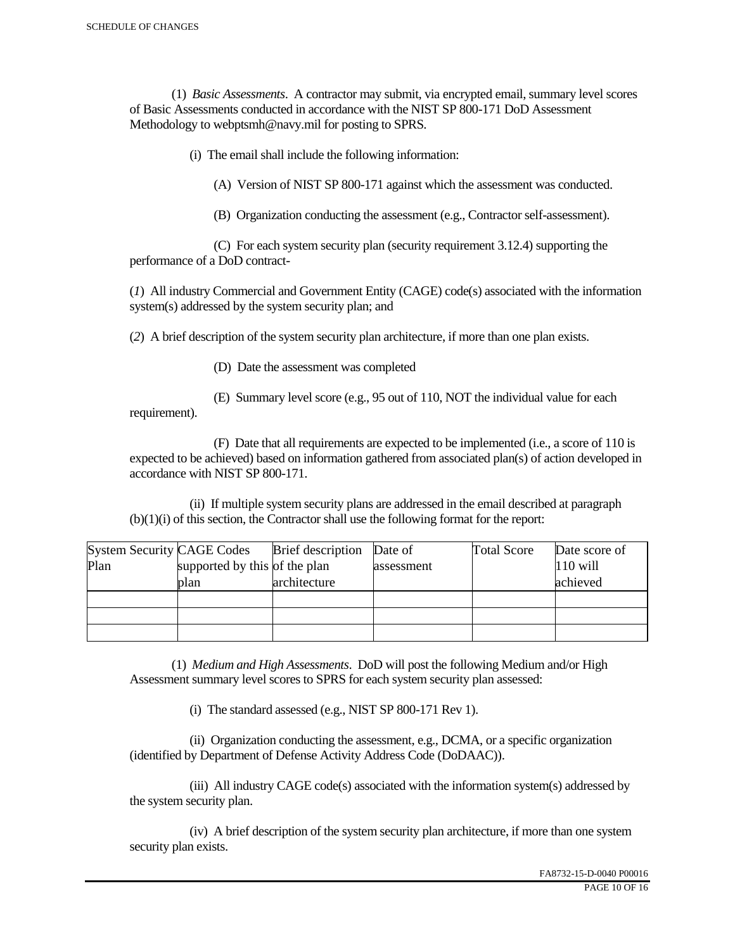(1) *Basic Assessments*. A contractor may submit, via encrypted email, summary level scores of Basic Assessments conducted in accordance with the NIST SP 800-171 DoD Assessment Methodology to webptsmh@navy.mil for posting to SPRS.

(i) The email shall include the following information:

(A) Version of NIST SP 800-171 against which the assessment was conducted.

(B) Organization conducting the assessment (e.g., Contractor self-assessment).

 (C) For each system security plan (security requirement 3.12.4) supporting the performance of a DoD contract-

(*1*) All industry Commercial and Government Entity (CAGE) code(s) associated with the information system(s) addressed by the system security plan; and

(*2*) A brief description of the system security plan architecture, if more than one plan exists.

(D) Date the assessment was completed

requirement).

(E) Summary level score (e.g., 95 out of 110, NOT the individual value for each

 (F) Date that all requirements are expected to be implemented (i.e., a score of 110 is expected to be achieved) based on information gathered from associated plan(s) of action developed in accordance with NIST SP 800-171.

 (ii) If multiple system security plans are addressed in the email described at paragraph (b)(1)(i) of this section, the Contractor shall use the following format for the report:

| <b>System Security CAGE Codes</b> |                               | <b>Brief</b> description | Date of    | <b>Total Score</b> | Date score of |
|-----------------------------------|-------------------------------|--------------------------|------------|--------------------|---------------|
| Plan                              | supported by this of the plan |                          | assessment |                    | $110$ will    |
|                                   | plan                          | architecture             |            |                    | achieved      |
|                                   |                               |                          |            |                    |               |
|                                   |                               |                          |            |                    |               |
|                                   |                               |                          |            |                    |               |

 (1) *Medium and High Assessments*. DoD will post the following Medium and/or High Assessment summary level scores to SPRS for each system security plan assessed:

(i) The standard assessed (e.g., NIST SP 800-171 Rev 1).

 (ii) Organization conducting the assessment, e.g., DCMA, or a specific organization (identified by Department of Defense Activity Address Code (DoDAAC)).

 (iii) All industry CAGE code(s) associated with the information system(s) addressed by the system security plan.

 (iv) A brief description of the system security plan architecture, if more than one system security plan exists.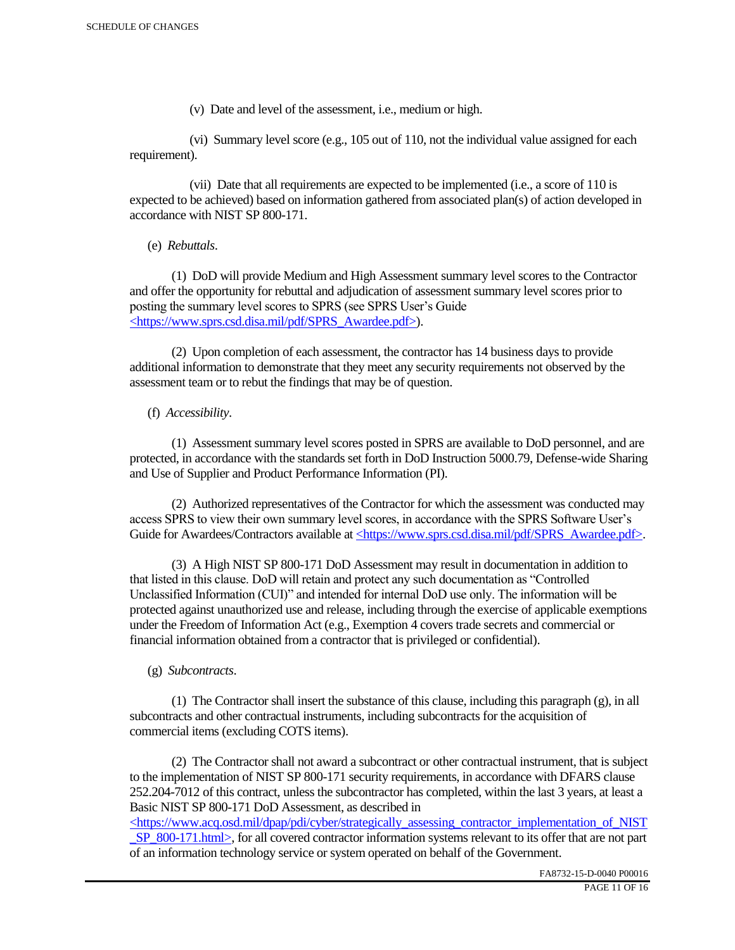(v) Date and level of the assessment, i.e., medium or high.

 (vi) Summary level score (e.g., 105 out of 110, not the individual value assigned for each requirement).

 (vii) Date that all requirements are expected to be implemented (i.e., a score of 110 is expected to be achieved) based on information gathered from associated plan(s) of action developed in accordance with NIST SP 800-171.

(e) *Rebuttals*.

 (1) DoD will provide Medium and High Assessment summary level scores to the Contractor and offer the opportunity for rebuttal and adjudication of assessment summary level scores prior to posting the summary level scores to SPRS (see SPRS User's Guide <https://www.sprs.csd.disa.mil/pdf/SPRS\_Awardee.pdf>).

 (2) Upon completion of each assessment, the contractor has 14 business days to provide additional information to demonstrate that they meet any security requirements not observed by the assessment team or to rebut the findings that may be of question.

## (f) *Accessibility*.

 (1) Assessment summary level scores posted in SPRS are available to DoD personnel, and are protected, in accordance with the standards set forth in DoD Instruction 5000.79, Defense-wide Sharing and Use of Supplier and Product Performance Information (PI).

 (2) Authorized representatives of the Contractor for which the assessment was conducted may access SPRS to view their own summary level scores, in accordance with the SPRS Software User's Guide for Awardees/Contractors available at <https://www.sprs.csd.disa.mil/pdf/SPRS\_Awardee.pdf>.

 (3) A High NIST SP 800-171 DoD Assessment may result in documentation in addition to that listed in this clause. DoD will retain and protect any such documentation as "Controlled Unclassified Information (CUI)" and intended for internal DoD use only. The information will be protected against unauthorized use and release, including through the exercise of applicable exemptions under the Freedom of Information Act (e.g., Exemption 4 covers trade secrets and commercial or financial information obtained from a contractor that is privileged or confidential).

## (g) *Subcontracts*.

(1) The Contractor shall insert the substance of this clause, including this paragraph  $(g)$ , in all subcontracts and other contractual instruments, including subcontracts for the acquisition of commercial items (excluding COTS items).

 (2) The Contractor shall not award a subcontract or other contractual instrument, that is subject to the implementation of NIST SP 800-171 security requirements, in accordance with DFARS clause 252.204-7012 of this contract, unless the subcontractor has completed, within the last 3 years, at least a Basic NIST SP 800-171 DoD Assessment, as described in

 $\langle$ https://www.acq.osd.mil/dpap/pdi/cyber/strategically\_assessing\_contractor\_implementation\_of\_NIST SP\_800-171.html>, for all covered contractor information systems relevant to its offer that are not part of an information technology service or system operated on behalf of the Government.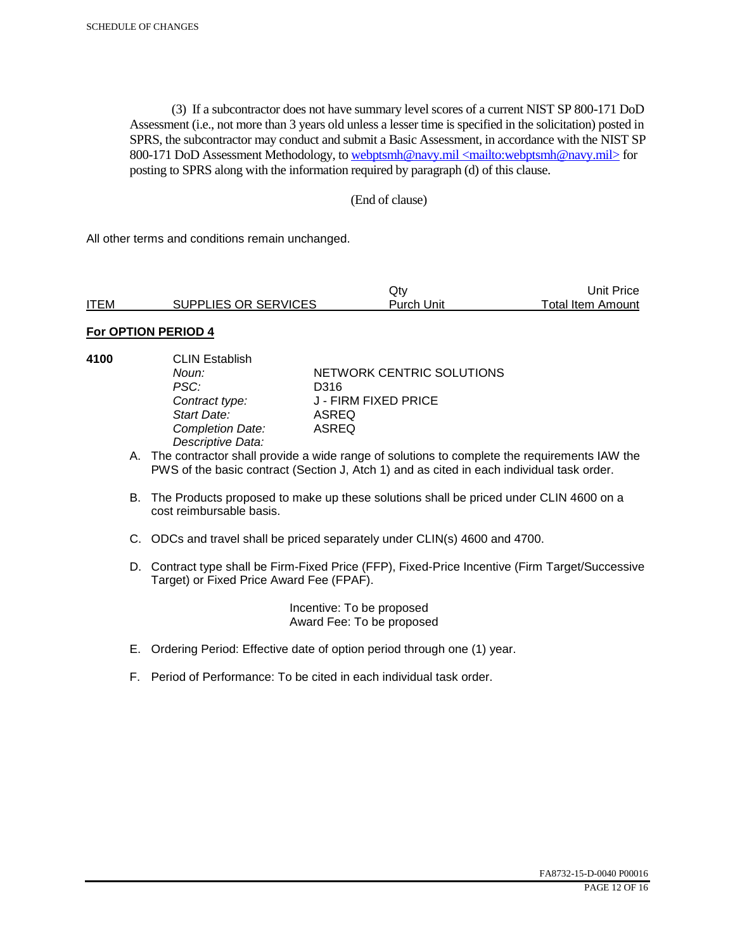(3) If a subcontractor does not have summary level scores of a current NIST SP 800-171 DoD Assessment (i.e., not more than 3 years old unless a lesser time is specified in the solicitation) posted in SPRS, the subcontractor may conduct and submit a Basic Assessment, in accordance with the NIST SP 800-171 DoD Assessment Methodology, to webptsmh@navy.mil <mailto:webptsmh@navy.mil> for posting to SPRS along with the information required by paragraph (d) of this clause.

## (End of clause)

All other terms and conditions remain unchanged.

|             |                      | Jtv.       | Unit Price l      |
|-------------|----------------------|------------|-------------------|
| <b>ITEM</b> | SUPPLIES OR SERVICES | Purch Unit | Total Item Amount |

## **For OPTION PERIOD 4**

- 
- **4100** CLIN Establish PSC: D316<br>Contract type: J - FII *Start Date:* ASREQ **Completion Date:** *Descriptive Data:*

**Noun: NETWORK CENTRIC SOLUTIONS** *Contract type:* J - FIRM FIXED PRICE

- A. The contractor shall provide a wide range of solutions to complete the requirements IAW the PWS of the basic contract (Section J, Atch 1) and as cited in each individual task order.
- B. The Products proposed to make up these solutions shall be priced under CLIN 4600 on a cost reimbursable basis.
- C. ODCs and travel shall be priced separately under CLIN(s) 4600 and 4700.
- D. Contract type shall be Firm-Fixed Price (FFP), Fixed-Price Incentive (Firm Target/Successive Target) or Fixed Price Award Fee (FPAF).

 Incentive: To be proposed Award Fee: To be proposed

- E. Ordering Period: Effective date of option period through one (1) year.
- F. Period of Performance: To be cited in each individual task order.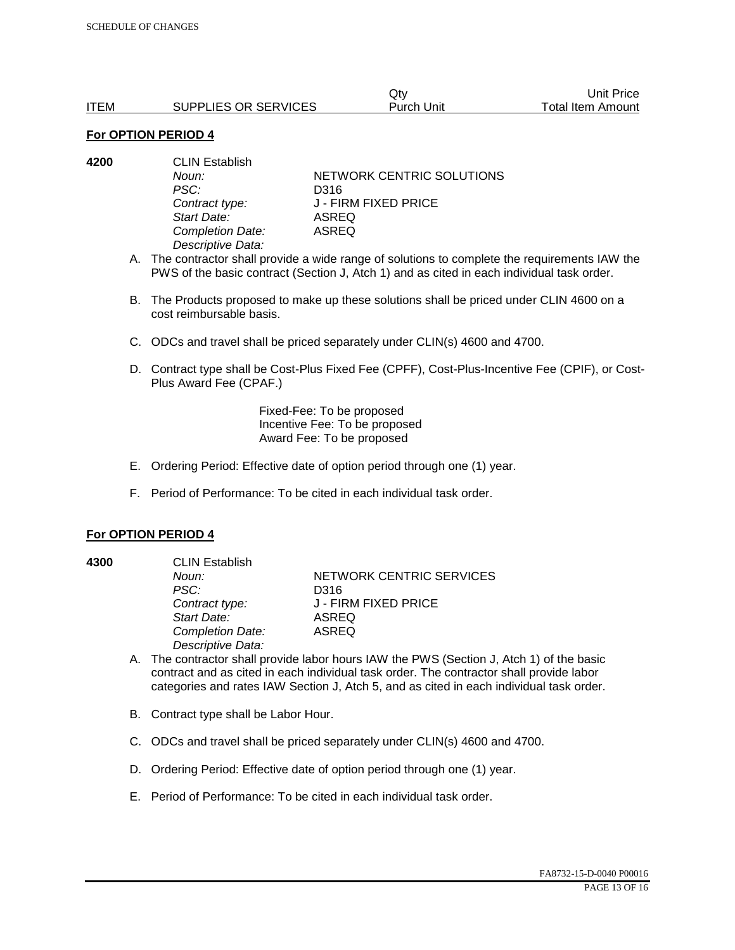|             |                      | Qtv        | Unit Price        |
|-------------|----------------------|------------|-------------------|
| <b>ITEM</b> | SUPPLIES OR SERVICES | Purch Unit | Total Item Amount |

#### **For OPTION PERIOD 4**

| <b>CLIN Establish</b> |                                    |  |
|-----------------------|------------------------------------|--|
| Noun:                 | NETWORK CENTRIC SOLUTIONS          |  |
| PSC:                  | D316                               |  |
|                       | J - FIRM FIXED PRICE               |  |
| Start Date:           | ASREQ                              |  |
|                       | ASREQ                              |  |
| Descriptive Data:     |                                    |  |
|                       | Contract type:<br>Completion Date: |  |

- A. The contractor shall provide a wide range of solutions to complete the requirements IAW the PWS of the basic contract (Section J, Atch 1) and as cited in each individual task order.
- B. The Products proposed to make up these solutions shall be priced under CLIN 4600 on a cost reimbursable basis.
- C. ODCs and travel shall be priced separately under CLIN(s) 4600 and 4700.
- D. Contract type shall be Cost-Plus Fixed Fee (CPFF), Cost-Plus-Incentive Fee (CPIF), or Cost-Plus Award Fee (CPAF.)

Fixed-Fee: To be proposed Incentive Fee: To be proposed Award Fee: To be proposed

- E. Ordering Period: Effective date of option period through one (1) year.
- F. Period of Performance: To be cited in each individual task order.

#### **For OPTION PERIOD 4**

**4300** CLIN Establish *PSC:* D316 *Start Date:* ASREQ *Completion Date:* ASREQ *Descriptive Data:* 

**Noun: NETWORK CENTRIC SERVICES** *Contract type:* J - FIRM FIXED PRICE

- A. The contractor shall provide labor hours IAW the PWS (Section J, Atch 1) of the basic contract and as cited in each individual task order. The contractor shall provide labor categories and rates IAW Section J, Atch 5, and as cited in each individual task order.
- B. Contract type shall be Labor Hour.
- C. ODCs and travel shall be priced separately under CLIN(s) 4600 and 4700.
- D. Ordering Period: Effective date of option period through one (1) year.
- E. Period of Performance: To be cited in each individual task order.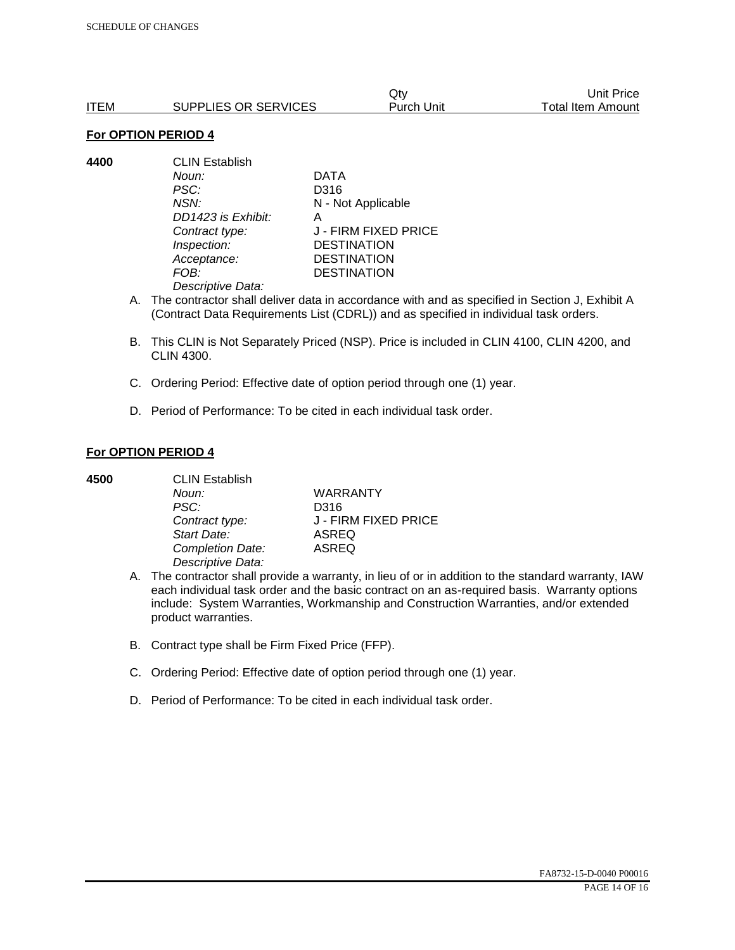|      |                      | Qtv        | Unit Price        |
|------|----------------------|------------|-------------------|
| ITEM | SUPPLIES OR SERVICES | Purch Unit | Total Item Amount |

#### **For OPTION PERIOD 4**

**4400** CLIN Establish *Noun:* DATA *PSC:* D316 *NSN:* N - Not Applicable *DD1423 is Exhibit:* A *Contract type:* J - FIRM FIXED PRICE *Inspection:* DESTINATION *Acceptance:* DESTINATION *FOB:* DESTINATION *Descriptive Data:* 

- A. The contractor shall deliver data in accordance with and as specified in Section J, Exhibit A (Contract Data Requirements List (CDRL)) and as specified in individual task orders.
- B. This CLIN is Not Separately Priced (NSP). Price is included in CLIN 4100, CLIN 4200, and CLIN 4300.
- C. Ordering Period: Effective date of option period through one (1) year.
- D. Period of Performance: To be cited in each individual task order.

## **For OPTION PERIOD 4**

| 4500 | <b>CLIN Establish</b> |                      |  |
|------|-----------------------|----------------------|--|
|      | Noun:                 | <b>WARRANTY</b>      |  |
|      | PSC:                  | D316                 |  |
|      | Contract type:        | J - FIRM FIXED PRICE |  |
|      | Start Date:           | <b>ASREQ</b>         |  |
|      | Completion Date:      | <b>ASREQ</b>         |  |
|      | Descriptive Data:     |                      |  |

- A. The contractor shall provide a warranty, in lieu of or in addition to the standard warranty, IAW each individual task order and the basic contract on an as-required basis. Warranty options include: System Warranties, Workmanship and Construction Warranties, and/or extended product warranties.
- B. Contract type shall be Firm Fixed Price (FFP).
- C. Ordering Period: Effective date of option period through one (1) year.
- D. Period of Performance: To be cited in each individual task order.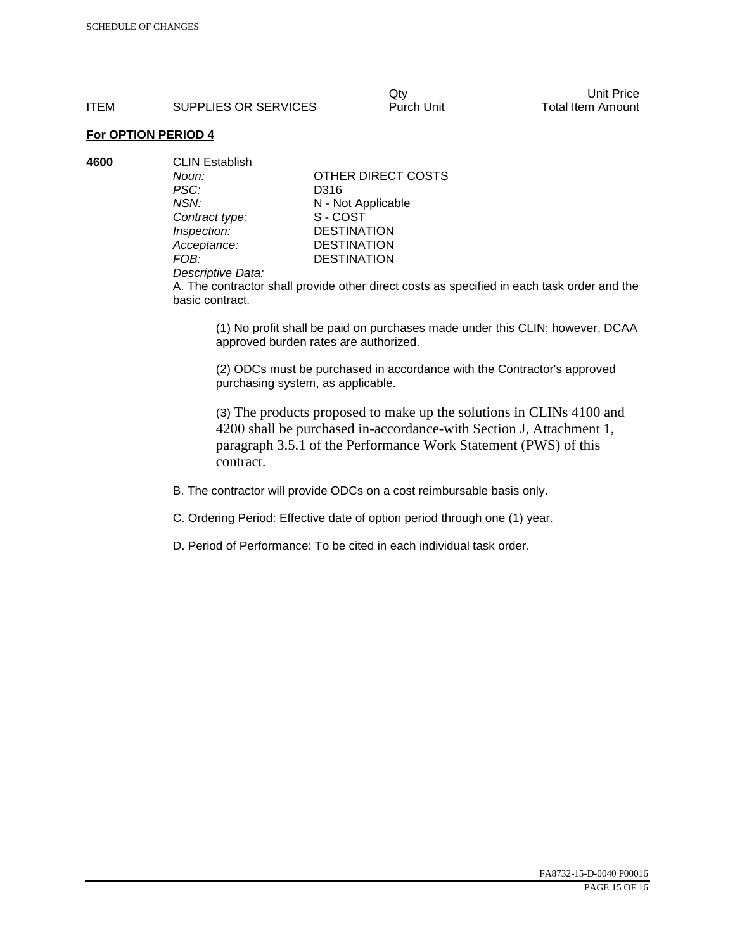Qty Unit Price ITEM SUPPLIES OR SERVICES Purch Unit Total Item Amount

# **For OPTION PERIOD 4**

| 4600 | <b>CLIN Establish</b> |                    |  |
|------|-----------------------|--------------------|--|
|      | Noun:                 | OTHER DIRECT COSTS |  |
|      | PSC:                  | D316               |  |
|      | NSN:                  | N - Not Applicable |  |
|      | Contract type:        | S-COST             |  |
|      | Inspection:           | <b>DESTINATION</b> |  |
|      | Acceptance:           | <b>DESTINATION</b> |  |
|      | FOB:                  | <b>DESTINATION</b> |  |
|      |                       |                    |  |

#### *Descriptive Data:*

A. The contractor shall provide other direct costs as specified in each task order and the basic contract.

(1) No profit shall be paid on purchases made under this CLIN; however, DCAA approved burden rates are authorized.

(2) ODCs must be purchased in accordance with the Contractor's approved purchasing system, as applicable.

(3) The products proposed to make up the solutions in CLINs 4100 and 4200 shall be purchased in-accordance-with Section J, Attachment 1, paragraph 3.5.1 of the Performance Work Statement (PWS) of this contract.

B. The contractor will provide ODCs on a cost reimbursable basis only.

C. Ordering Period: Effective date of option period through one (1) year.

D. Period of Performance: To be cited in each individual task order.